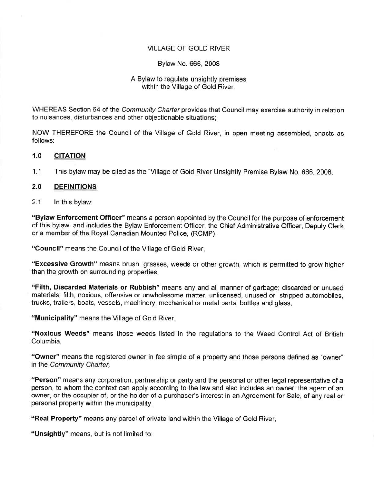## VILLAGE OF GOLD RIVER

## Bylaw No. 666, 2008

## A Bylaw to regulate unsightly premises within the Village of Gold River.

WHEREAS Section 64 of the *Community Charter* provides that Council may exercise authority in relation to nuisances, disturbances and other objectionable situations;

NOW THEREFORE the Council of the Village of Gold River, in open meeting assembled, enacts as follows:

#### **1.0 CITATION**

1.1 This bylaw may be cited as the "Village of Gold River Unsightly Premise Bylaw No. 666, 2008.

#### **2.0 DEFINITIONS**

2.1 In this bylaw:

**"Bylaw Enforcement Officer"** means a person appointed by the Council for the purpose of enforcement of this bylaw, and includes the Bylaw Enforcement Officer, the Chief Administrative Officer, Deputy Clerk or a member of the Royal Canadian Mounted Police, (RCMP),

**"Council"** means the Council of the Village of Gold River,

**"Excessive Growth"** means brush, grasses, weeds or other growth, which is permitted to grow higher than the growth on surrounding properties,

**"Filth, Discarded Materials or Rubbish"** means any and all manner of garbage; discarded or unused materials; filth; noxious, offensive or unwholesome matter, unlicensed, unused or stripped automobiles, trucks, trailers, boats, vessels, machinery, mechanical or metal parts; bottles and glass,

**"Municipality"** means the Village of Gold River,

**"Noxious Weeds"** means those weeds listed in the regulations to the Weed Control Act of British Columbia,

**"Owner"** means the registered owner in fee simple of a property and those persons defined as "owner" in the Community Charter,

**"Person"** means any corporation, partnership or party and the personal or other legal representative of a person, to whom the context can apply according to the law and also includes an owner, the agent of an owner, or the occupier of, or the holder of a purchaser's interest in an Agreement for Sale, of any real or personal property within the municipality,

**"Real Property"** means any parcel of private land within the Village of Gold River,

**"Unsightly"** means, but is not limited to: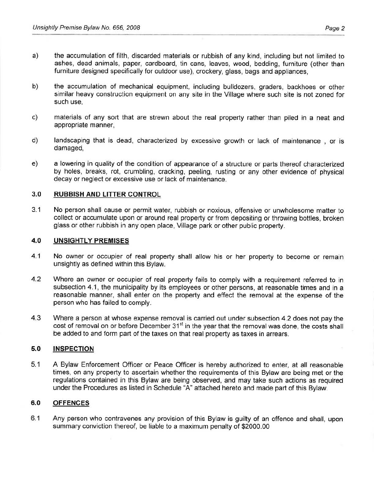- a) the accumulation of filth, discarded materials or rubbish of any kind, including but not limited to ashes, dead animals, paper, cardboard, tin cans, leaves, wood, bedding, furniture (other than furniture designed specifically for outdoor use), crockery, glass, bags and appliances,
- b) the accumulation of mechanical equipment, including bulldozers, graders, backhoes or other similar heavy construction equipment on any site in the Village where such site is not zoned for such use,
- c) materials of any sort that are strewn about the real property rather than piled in a neat and appropriate manner,
- d) landscaping that is dead, characterized by excessive growth or lack of maintenance , or is damaged,
- e) a lowering in quality of the condition of appearance of a structure or parts thereof characterized by holes, breaks, rot, crumbling, cracking, peeling, rusting or any other evidence of physical decay or neglect or excessive use or lack of maintenance.

## **3.0 RUBBISH AND LITTER CONTROL**

3.1 No person shall cause or permit water, rubbish or noxious, offensive or unwholesome matter to collect or accumulate upon or around real property or from depositing or throwing bottles, broken glass or other rubbish in any open place, Village park or other public property.

## **4.0 UNSIGHTLY PREMISES**

- 4.1 No owner or occupier of real property shall allow his or her property to become or remain unsightly as defined within this Bylaw.
- 4.2 Where an owner or occupier of real property fails to comply with a requirement referred to in subsection 4.1, the municipality by its employees or other persons, at reasonable times and in a reasonable manner, shall enter on the property and effect the removal at the expense of the person who has failed to comply.
- 4.3 Where a person at whose expense removal is carried out under subsection 4.2 does not pay the cost of removal on or before December 31<sup>st</sup> in the year that the removal was done, the costs shall be added to and form part of the taxes on that real property as taxes in arrears.

# **5.0 INSPECTION**

5.1 A Bylaw Enforcement Officer or Peace Officer is hereby authorized to enter, at all reasonable times, on any property to ascertain whether the requirements of this Bylaw are being met or the regulations contained in this Bylaw are being observed, and may take such actions as required under the Procedures as listed in Schedule "A" attached hereto and made part of this Bylaw.

## **6.0 OFFENCES**

6.1 Any person who contravenes any provision of this Bylaw is guilty of an offence and shall, upon summary conviction thereof, be liable to a maximum penalty of \$2000.00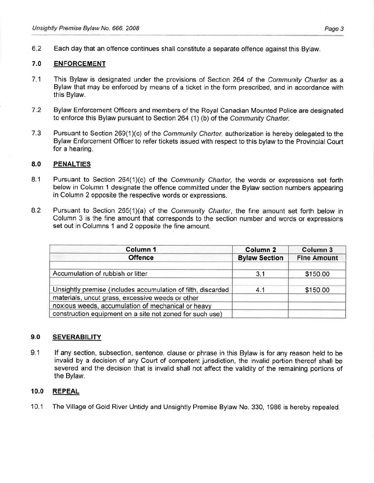6.2 Each day that an offence continues shall constitute a separate offence against this Bylaw.

# **7.0 ENFORCEMENT**

- 7.1 This Bylaw is designated under the provisions of Section 264 of the Community Charter as a Bylaw that may be enforced by means of a ticket in the form prescribed, and in accordance with this Bylaw.
- 7.2 Bylaw Enforcement Officers and members of the Royal Canadian Mounted Police are designated to enforce this Bylaw pursuant to Section 264 (1) (b) of the Community Charter.
- 7.3 Pursuant to Section 269(1)(c) of the Community Charter, authorization is hereby delegated to the Bylaw Enforcement Officer to refer tickets issued with respect to this bylaw to the Provincial Court for a hearing.

## 8.0 PENALTIES

- 8.1 Pursuant to Section 264(1)(c) of the Community Charter, the words or expressions set forth below in Column 1 designate the offence committed under the Bylaw section numbers appearing in Column 2 opposite the respective words or expressions.
- 8.2 Pursuant to Section 265(1)(a) of the Community Charter, the fine amount set forth below in Column 3 is the fine amount that corresponds to the section number and words or expressions set out in Columns 1 and 2 opposite the fine amount.

| Column 1                                                                                               | Column <sub>2</sub>  | Column 3           |  |
|--------------------------------------------------------------------------------------------------------|----------------------|--------------------|--|
| <b>Offence</b>                                                                                         | <b>Bylaw Section</b> | <b>Fine Amount</b> |  |
| Accumulation of rubbish or litter                                                                      | 3.1                  | \$150.00           |  |
| Unsightly premise (includes accumulation of filth, discarded                                           | 4.1                  | \$150.00           |  |
| materials, uncut grass, excessive weeds or other<br>noxious weeds, accumulation of mechanical or heavy |                      |                    |  |
| construction equipment on a site not zoned for such use)                                               |                      |                    |  |

## **9.0 SEVERABILITY**

9.1 If any section, subsection, sentence, clause or phrase in this Bylaw is for any reason held to be invalid by a decision of any Court of competent jurisdiction, the invalid portion thereof shall be severed and the decision that is invalid shall not affect the validity of the remaining portions of the Bylaw.

# **10.0 REPEAL**

10.1 The Village of Gold River Untidy and Unsightly Premise Bylaw No. 330, 1986 is hereby repealed.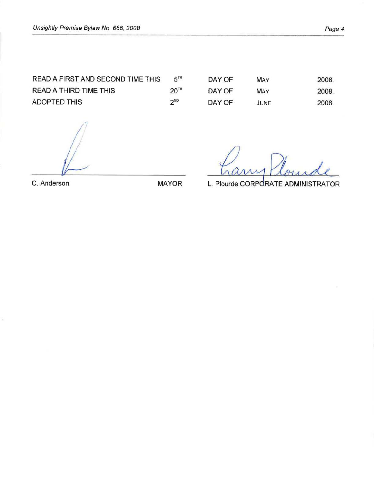READ A FIRST AND SECOND TIME THIS 5TH READ A THIRD TIME THIS 20TH ADOPTED THIS 2<sup>ND</sup>

| DAY OF | MAY  | 2008  |
|--------|------|-------|
| DAY OF | MAY  | 2008. |
| DAY OF | JUNE | 2008. |

C. Anderson MAYOR

ÿ.

L. Plourde CORPORATE ADMINISTRATOR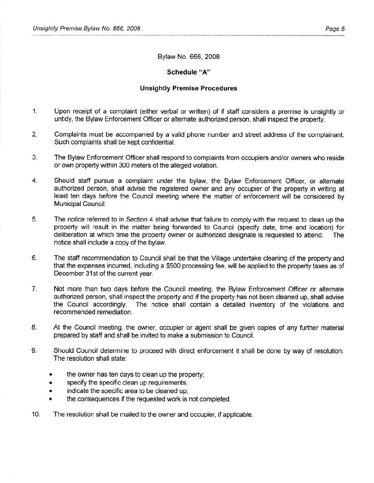#### Bylaw No. 666, 2008

#### **Schedule "A"**

#### **Unsightly Premise Procedures**

- 1. Upon receipt of a complaint (either verbal or written) of if staff considers a premise is unsightly or untidy, the Bylaw Enforcement Officer or alternate authorized person, shall inspect the property.
- 2. Complaints must be accompanied by a valid phone number and street address of the complainant. Such complaints shall be kept confidential.
- 3. The Bylaw Enforcement Officer shall respond to complaints from occupiers and/or owners who reside or own property within 300 meters of the alleged violation.
- 4. Should staff pursue a complaint under the bylaw, the Bylaw Enforcement Officer, or alternate authorized person, shall advise the registered owner and any occupier of the property in writing at least ten days before the Council meeting where the matter of enforcement will be considered by Municipal Council.
- 5. The notice referred to in Section 4 shall advise that failure to comply with the request to clean up the property will result in the matter being forwarded to Council (specify date, time and location) for deliberation at which time the property owner or authorized designate is requested to attend. The notice shall include a copy of the bylaw.
- 6. The staff recommendation to Council shall be that the Village undertake cleaning of the property and that the expenses incurred, including a \$500 processing fee, will be applied to the property taxes as of December 31st of the current year.
- 7. Not more than two days before the Council meeting, the Bylaw Enforcement Officer or alternate authorized person, shall inspect the property and if the property has not been cleaned up, shall advise the Council accordingly. The notice shall contain a detailed inventory of the violations and recommended remediation.
- 8. At the Council meeting, the owner, occupier or agent shall be given copies of any further material prepared by staff and shall be invited to make a submission to Council.
- 9. Should Council determine to proceed with direct enforcement it shall be done by way of resolution. The resolution shall state:
	- the owner has ten days to clean up the property;
	- specify the specific clean up requirements;
	- indicate the specific area to be cleaned up;
	- the consequences if the requested work is not completed.
- 10. The resolution shall be mailed to the owner and occupier, if applicable.